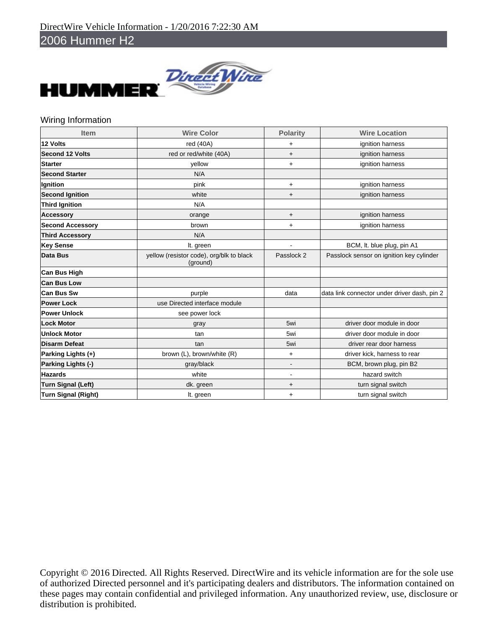Е



## Wiring Information

| <b>Item</b>                | <b>Wire Color</b>                                    | <b>Polarity</b> | <b>Wire Location</b>                         |
|----------------------------|------------------------------------------------------|-----------------|----------------------------------------------|
| 12 Volts                   | red (40A)                                            | $\ddot{}$       | ignition harness                             |
| <b>Second 12 Volts</b>     | red or red/white (40A)                               | $\ddot{}$       | ignition harness                             |
| <b>Starter</b>             | vellow                                               | $\ddot{}$       | ignition harness                             |
| <b>Second Starter</b>      | N/A                                                  |                 |                                              |
| Ignition                   | pink                                                 | $\ddot{}$       | ignition harness                             |
| <b>Second Ignition</b>     | white                                                | $\ddot{}$       | ignition harness                             |
| <b>Third Ignition</b>      | N/A                                                  |                 |                                              |
| <b>Accessory</b>           | orange                                               | $\ddot{}$       | ignition harness                             |
| <b>Second Accessory</b>    | brown                                                | $\ddot{}$       | ignition harness                             |
| <b>Third Accessory</b>     | N/A                                                  |                 |                                              |
| <b>Key Sense</b>           | It. green                                            |                 | BCM, It. blue plug, pin A1                   |
| <b>Data Bus</b>            | yellow (resistor code), org/blk to black<br>(ground) | Passlock 2      | Passlock sensor on ignition key cylinder     |
| <b>Can Bus High</b>        |                                                      |                 |                                              |
| <b>Can Bus Low</b>         |                                                      |                 |                                              |
| Can Bus Sw                 | purple                                               | data            | data link connector under driver dash, pin 2 |
| <b>Power Lock</b>          | use Directed interface module                        |                 |                                              |
| <b>Power Unlock</b>        | see power lock                                       |                 |                                              |
| <b>Lock Motor</b>          | gray                                                 | 5wi             | driver door module in door                   |
| <b>Unlock Motor</b>        | tan                                                  | 5wi             | driver door module in door                   |
| <b>Disarm Defeat</b>       | tan                                                  | 5wi             | driver rear door harness                     |
| Parking Lights (+)         | brown (L), brown/white (R)                           | $\ddot{}$       | driver kick, harness to rear                 |
| Parking Lights (-)         | gray/black                                           |                 | BCM, brown plug, pin B2                      |
| <b>Hazards</b>             | white                                                | $\blacksquare$  | hazard switch                                |
| <b>Turn Signal (Left)</b>  | dk. green                                            | $\ddot{}$       | turn signal switch                           |
| <b>Turn Signal (Right)</b> | It. green                                            | $\ddot{}$       | turn signal switch                           |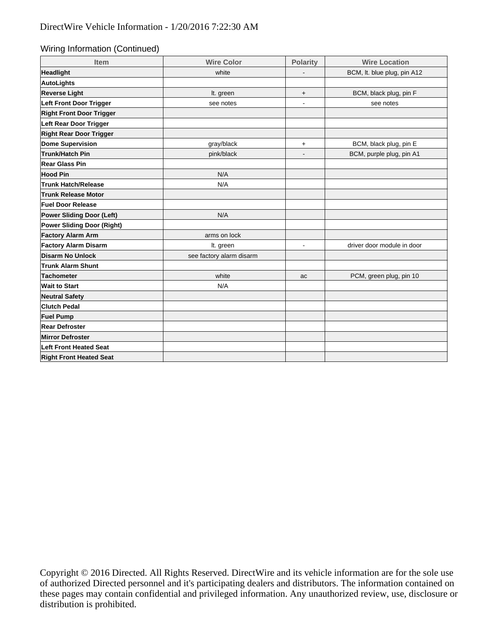Wiring Information (Continued)

| Item                            | <b>Wire Color</b>        | <b>Polarity</b> | <b>Wire Location</b>        |  |
|---------------------------------|--------------------------|-----------------|-----------------------------|--|
| Headlight                       | white                    |                 | BCM, It. blue plug, pin A12 |  |
| AutoLights                      |                          |                 |                             |  |
| <b>Reverse Light</b>            | It. green                | $\ddot{}$       | BCM, black plug, pin F      |  |
| Left Front Door Trigger         | see notes                | $\blacksquare$  | see notes                   |  |
| <b>Right Front Door Trigger</b> |                          |                 |                             |  |
| Left Rear Door Trigger          |                          |                 |                             |  |
| <b>Right Rear Door Trigger</b>  |                          |                 |                             |  |
| Dome Supervision                | gray/black               | $\ddot{}$       | BCM, black plug, pin E      |  |
| Trunk/Hatch Pin                 | pink/black               | $\blacksquare$  | BCM, purple plug, pin A1    |  |
| Rear Glass Pin                  |                          |                 |                             |  |
| <b>Hood Pin</b>                 | N/A                      |                 |                             |  |
| <b>Trunk Hatch/Release</b>      | N/A                      |                 |                             |  |
| <b>Trunk Release Motor</b>      |                          |                 |                             |  |
| <b>Fuel Door Release</b>        |                          |                 |                             |  |
| Power Sliding Door (Left)       | N/A                      |                 |                             |  |
| Power Sliding Door (Right)      |                          |                 |                             |  |
| <b>Factory Alarm Arm</b>        | arms on lock             |                 |                             |  |
| <b>Factory Alarm Disarm</b>     | It. green                | ٠               | driver door module in door  |  |
| Disarm No Unlock                | see factory alarm disarm |                 |                             |  |
| <b>Trunk Alarm Shunt</b>        |                          |                 |                             |  |
| Tachometer                      | white                    | ac              | PCM, green plug, pin 10     |  |
| <b>Wait to Start</b>            | N/A                      |                 |                             |  |
| <b>Neutral Safety</b>           |                          |                 |                             |  |
| <b>Clutch Pedal</b>             |                          |                 |                             |  |
| <b>Fuel Pump</b>                |                          |                 |                             |  |
| <b>Rear Defroster</b>           |                          |                 |                             |  |
| <b>Mirror Defroster</b>         |                          |                 |                             |  |
| <b>Left Front Heated Seat</b>   |                          |                 |                             |  |
| <b>Right Front Heated Seat</b>  |                          |                 |                             |  |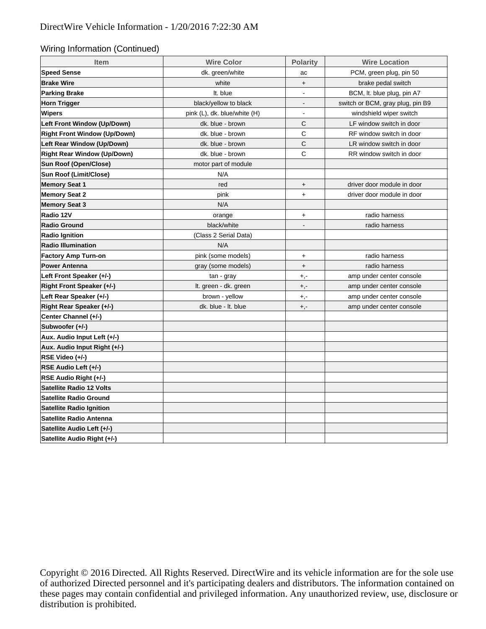## Wiring Information (Continued)

| <b>Item</b>                         | <b>Wire Color</b>            | <b>Polarity</b>                  | <b>Wire Location</b>             |  |
|-------------------------------------|------------------------------|----------------------------------|----------------------------------|--|
| <b>Speed Sense</b>                  | dk. green/white              | ac                               | PCM, green plug, pin 50          |  |
| <b>Brake Wire</b>                   | white                        | $+$                              | brake pedal switch               |  |
| <b>Parking Brake</b>                | It. blue                     | $\blacksquare$                   | BCM, It. blue plug, pin A7       |  |
| <b>Horn Trigger</b>                 | black/yellow to black        | $\overline{\phantom{a}}$         | switch or BCM, gray plug, pin B9 |  |
| Wipers                              | pink (L), dk. blue/white (H) | $\overline{\phantom{a}}$         | windshield wiper switch          |  |
| Left Front Window (Up/Down)         | dk. blue - brown             | C                                | LF window switch in door         |  |
| <b>Right Front Window (Up/Down)</b> | dk. blue - brown             | $\mathsf C$                      | RF window switch in door         |  |
| Left Rear Window (Up/Down)          | dk. blue - brown             | C                                | LR window switch in door         |  |
| <b>Right Rear Window (Up/Down)</b>  | dk. blue - brown             | C                                | RR window switch in door         |  |
| Sun Roof (Open/Close)               | motor part of module         |                                  |                                  |  |
| Sun Roof (Limit/Close)              | N/A                          |                                  |                                  |  |
| <b>Memory Seat 1</b>                | red                          | $+$                              | driver door module in door       |  |
| <b>Memory Seat 2</b>                | pink                         | $+$                              | driver door module in door       |  |
| <b>Memory Seat 3</b>                | N/A                          |                                  |                                  |  |
| Radio 12V                           | orange                       | $\ddot{}$                        | radio harness                    |  |
| <b>Radio Ground</b>                 | black/white                  | $\overline{\phantom{a}}$         | radio harness                    |  |
| <b>Radio Ignition</b>               | (Class 2 Serial Data)        |                                  |                                  |  |
| <b>Radio Illumination</b>           | N/A                          |                                  |                                  |  |
| <b>Factory Amp Turn-on</b>          | pink (some models)           | $+$                              | radio harness                    |  |
| <b>Power Antenna</b>                | gray (some models)           | $\begin{array}{c} + \end{array}$ | radio harness                    |  |
| Left Front Speaker (+/-)            | tan - gray                   | $+,-$                            | amp under center console         |  |
| Right Front Speaker (+/-)           | It. green - dk. green        | $+,-$                            | amp under center console         |  |
| Left Rear Speaker (+/-)             | brown - yellow               | $+,-$                            | amp under center console         |  |
| Right Rear Speaker (+/-)            | dk. blue - It. blue          | $+,-$                            | amp under center console         |  |
| Center Channel (+/-)                |                              |                                  |                                  |  |
| Subwoofer (+/-)                     |                              |                                  |                                  |  |
| Aux. Audio Input Left (+/-)         |                              |                                  |                                  |  |
| Aux. Audio Input Right (+/-)        |                              |                                  |                                  |  |
| RSE Video (+/-)                     |                              |                                  |                                  |  |
| RSE Audio Left (+/-)                |                              |                                  |                                  |  |
| RSE Audio Right (+/-)               |                              |                                  |                                  |  |
| <b>Satellite Radio 12 Volts</b>     |                              |                                  |                                  |  |
| <b>Satellite Radio Ground</b>       |                              |                                  |                                  |  |
| <b>Satellite Radio Ignition</b>     |                              |                                  |                                  |  |
| Satellite Radio Antenna             |                              |                                  |                                  |  |
| Satellite Audio Left (+/-)          |                              |                                  |                                  |  |
| Satellite Audio Right (+/-)         |                              |                                  |                                  |  |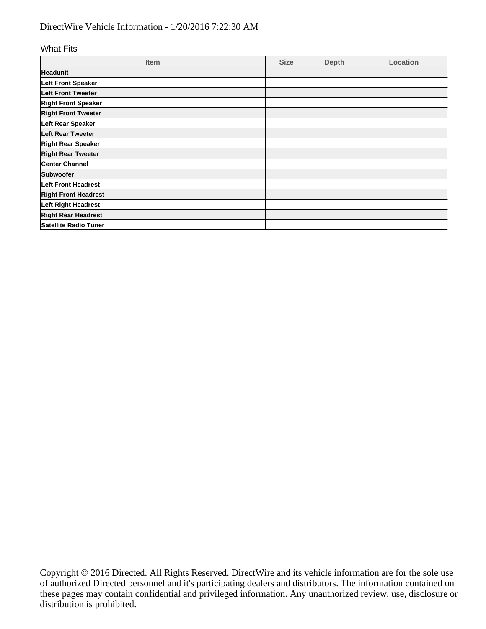## DirectWire Vehicle Information - 1/20/2016 7:22:30 AM

## What Fits

| <b>Item</b>                  | <b>Size</b> | <b>Depth</b> | Location |
|------------------------------|-------------|--------------|----------|
| <b>Headunit</b>              |             |              |          |
| Left Front Speaker           |             |              |          |
| Left Front Tweeter           |             |              |          |
| <b>Right Front Speaker</b>   |             |              |          |
| <b>Right Front Tweeter</b>   |             |              |          |
| Left Rear Speaker            |             |              |          |
| <b>Left Rear Tweeter</b>     |             |              |          |
| <b>Right Rear Speaker</b>    |             |              |          |
| <b>Right Rear Tweeter</b>    |             |              |          |
| <b>Center Channel</b>        |             |              |          |
| Subwoofer                    |             |              |          |
| <b>Left Front Headrest</b>   |             |              |          |
| <b>Right Front Headrest</b>  |             |              |          |
| Left Right Headrest          |             |              |          |
| <b>Right Rear Headrest</b>   |             |              |          |
| <b>Satellite Radio Tuner</b> |             |              |          |